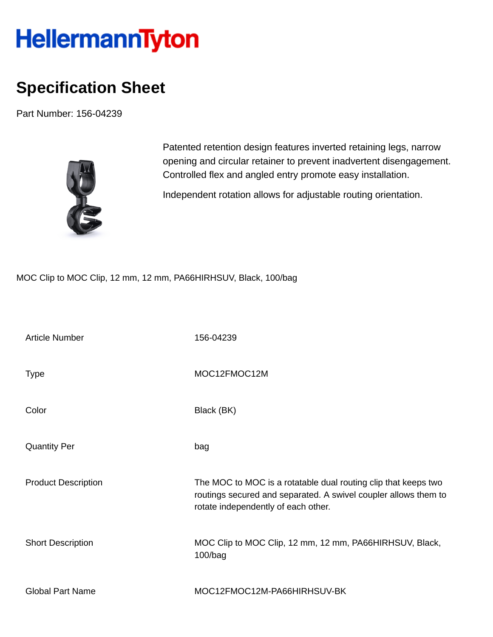## HellermannTyton

## **Specification Sheet**

Part Number: 156-04239



Patented retention design features inverted retaining legs, narrow opening and circular retainer to prevent inadvertent disengagement. Controlled flex and angled entry promote easy installation.

Independent rotation allows for adjustable routing orientation.

MOC Clip to MOC Clip, 12 mm, 12 mm, PA66HIRHSUV, Black, 100/bag

| <b>Article Number</b>      | 156-04239                                                                                                                                                                |
|----------------------------|--------------------------------------------------------------------------------------------------------------------------------------------------------------------------|
| <b>Type</b>                | MOC12FMOC12M                                                                                                                                                             |
| Color                      | Black (BK)                                                                                                                                                               |
| <b>Quantity Per</b>        | bag                                                                                                                                                                      |
| <b>Product Description</b> | The MOC to MOC is a rotatable dual routing clip that keeps two<br>routings secured and separated. A swivel coupler allows them to<br>rotate independently of each other. |
| <b>Short Description</b>   | MOC Clip to MOC Clip, 12 mm, 12 mm, PA66HIRHSUV, Black,<br>100/bag                                                                                                       |
| <b>Global Part Name</b>    | MOC12FMOC12M-PA66HIRHSUV-BK                                                                                                                                              |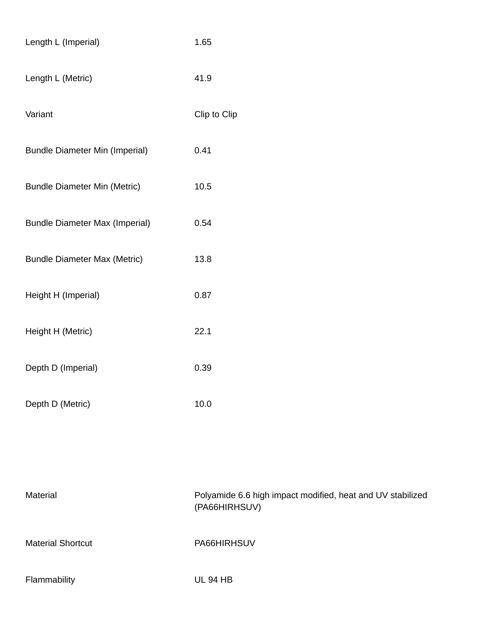| Length L (Imperial)                   | 1.65         |
|---------------------------------------|--------------|
| Length L (Metric)                     | 41.9         |
| Variant                               | Clip to Clip |
| <b>Bundle Diameter Min (Imperial)</b> | 0.41         |
| <b>Bundle Diameter Min (Metric)</b>   | 10.5         |
| <b>Bundle Diameter Max (Imperial)</b> | 0.54         |
| <b>Bundle Diameter Max (Metric)</b>   | 13.8         |
| Height H (Imperial)                   | 0.87         |
| Height H (Metric)                     | 22.1         |
| Depth D (Imperial)                    | 0.39         |
| Depth D (Metric)                      | 10.0         |
|                                       |              |

| Material                 | Polyamide 6.6 high impact modified, heat and UV stabilized<br>(PA66HIRHSUV) |
|--------------------------|-----------------------------------------------------------------------------|
| <b>Material Shortcut</b> | PA66HIRHSUV                                                                 |
| Flammability             | <b>UL 94 HB</b>                                                             |